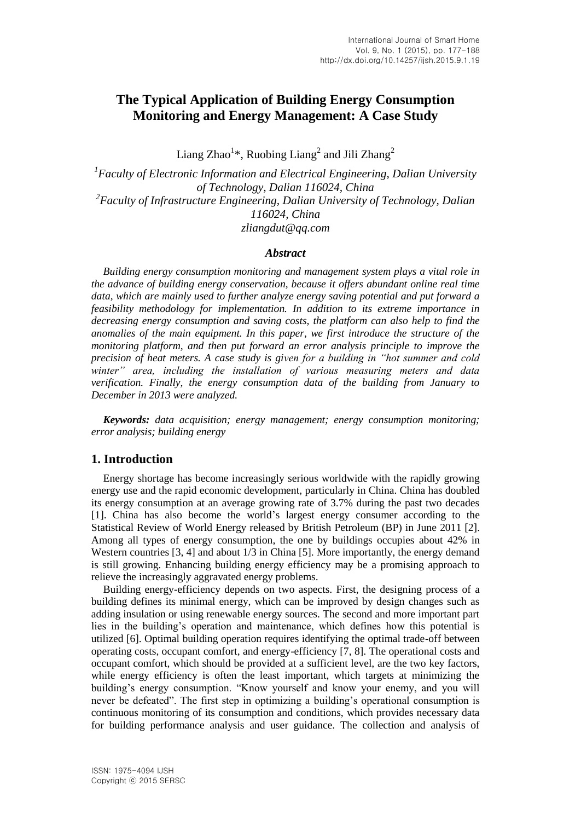# **The Typical Application of Building Energy Consumption Monitoring and Energy Management: A Case Study**

Liang Zhao<sup>1\*</sup>, Ruobing Liang<sup>2</sup> and Jili Zhang<sup>2</sup>

*1 Faculty of Electronic Information and Electrical Engineering, Dalian University of Technology, Dalian 116024, China 2 Faculty of Infrastructure Engineering, Dalian University of Technology, Dalian 116024, China zliangdut@qq.com*

### *Abstract*

*Building energy consumption monitoring and management system plays a vital role in the advance of building energy conservation, because it offers abundant online real time data, which are mainly used to further analyze energy saving potential and put forward a feasibility methodology for implementation. In addition to its extreme importance in decreasing energy consumption and saving costs, the platform can also help to find the anomalies of the main equipment. In this paper, we first introduce the structure of the monitoring platform, and then put forward an error analysis principle to improve the precision of heat meters. A case study is given for a building in "hot summer and cold winter" area, including the installation of various measuring meters and data verification. Finally, the energy consumption data of the building from January to December in 2013 were analyzed.*

*Keywords: data acquisition; energy management; energy consumption monitoring; error analysis; building energy*

### **1. Introduction**

Energy shortage has become increasingly serious worldwide with the rapidly growing energy use and the rapid economic development, particularly in China. China has doubled its energy consumption at an average growing rate of 3.7% during the past two decades [1]. China has also become the world's largest energy consumer according to the Statistical Review of World Energy released by British Petroleum (BP) in June 2011 [2]. Among all types of energy consumption, the one by buildings occupies about 42% in Western countries [3, 4] and about  $1/3$  in China [5]. More importantly, the energy demand is still growing. Enhancing building energy efficiency may be a promising approach to relieve the increasingly aggravated energy problems.

Building energy-efficiency depends on two aspects. First, the designing process of a building defines its minimal energy, which can be improved by design changes such as adding insulation or using renewable energy sources. The second and more important part lies in the building's operation and maintenance, which defines how this potential is utilized [6]. Optimal building operation requires identifying the optimal trade-off between operating costs, occupant comfort, and energy-efficiency [7, 8]. The operational costs and occupant comfort, which should be provided at a sufficient level, are the two key factors, while energy efficiency is often the least important, which targets at minimizing the building's energy consumption. "Know yourself and know your enemy, and you will never be defeated". The first step in optimizing a building's operational consumption is continuous monitoring of its consumption and conditions, which provides necessary data for building performance analysis and user guidance. The collection and analysis of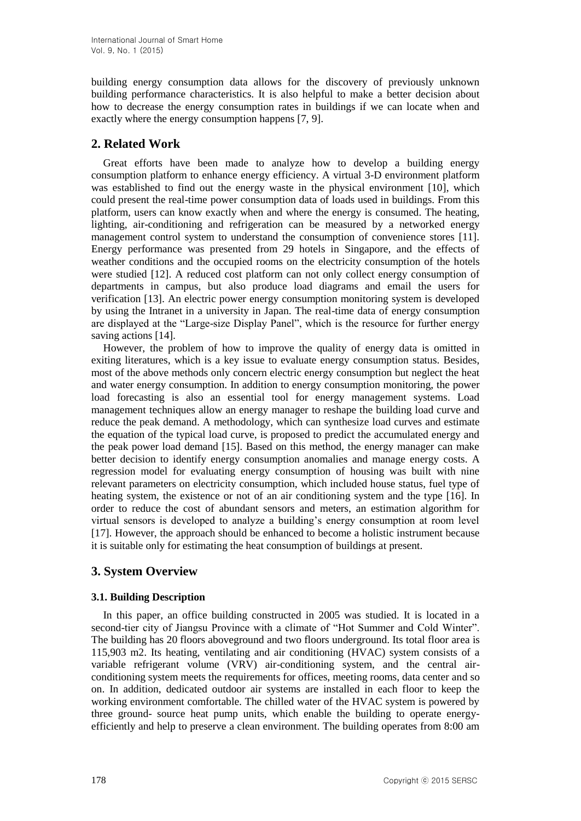building energy consumption data allows for the discovery of previously unknown building performance characteristics. It is also helpful to make a better decision about how to decrease the energy consumption rates in buildings if we can locate when and exactly where the energy consumption happens [7, 9].

## **2. Related Work**

Great efforts have been made to analyze how to develop a building energy consumption platform to enhance energy efficiency. A virtual 3-D environment platform was established to find out the energy waste in the physical environment [10], which could present the real-time power consumption data of loads used in buildings. From this platform, users can know exactly when and where the energy is consumed. The heating, lighting, air-conditioning and refrigeration can be measured by a networked energy management control system to understand the consumption of convenience stores [11]. Energy performance was presented from 29 hotels in Singapore, and the effects of weather conditions and the occupied rooms on the electricity consumption of the hotels were studied [12]. A reduced cost platform can not only collect energy consumption of departments in campus, but also produce load diagrams and email the users for verification [13]. An electric power energy consumption monitoring system is developed by using the Intranet in a university in Japan. The real-time data of energy consumption are displayed at the "Large-size Display Panel", which is the resource for further energy saving actions [14].

However, the problem of how to improve the quality of energy data is omitted in exiting literatures, which is a key issue to evaluate energy consumption status. Besides, most of the above methods only concern electric energy consumption but neglect the heat and water energy consumption. In addition to energy consumption monitoring, the power load forecasting is also an essential tool for energy management systems. Load management techniques allow an energy manager to reshape the building load curve and reduce the peak demand. A methodology, which can synthesize load curves and estimate the equation of the typical load curve, is proposed to predict the accumulated energy and the peak power load demand [15]. Based on this method, the energy manager can make better decision to identify energy consumption anomalies and manage energy costs. A regression model for evaluating energy consumption of housing was built with nine relevant parameters on electricity consumption, which included house status, fuel type of heating system, the existence or not of an air conditioning system and the type [16]. In order to reduce the cost of abundant sensors and meters, an estimation algorithm for virtual sensors is developed to analyze a building's energy consumption at room level [17]. However, the approach should be enhanced to become a holistic instrument because it is suitable only for estimating the heat consumption of buildings at present.

## **3. System Overview**

### **3.1. Building Description**

In this paper, an office building constructed in 2005 was studied. It is located in a second-tier city of Jiangsu Province with a climate of "Hot Summer and Cold Winter". The building has 20 floors aboveground and two floors underground. Its total floor area is 115,903 m2. Its heating, ventilating and air conditioning (HVAC) system consists of a variable refrigerant volume (VRV) air-conditioning system, and the central airconditioning system meets the requirements for offices, meeting rooms, data center and so on. In addition, dedicated outdoor air systems are installed in each floor to keep the working environment comfortable. The chilled water of the HVAC system is powered by three ground- source heat pump units, which enable the building to operate energyefficiently and help to preserve a clean environment. The building operates from 8:00 am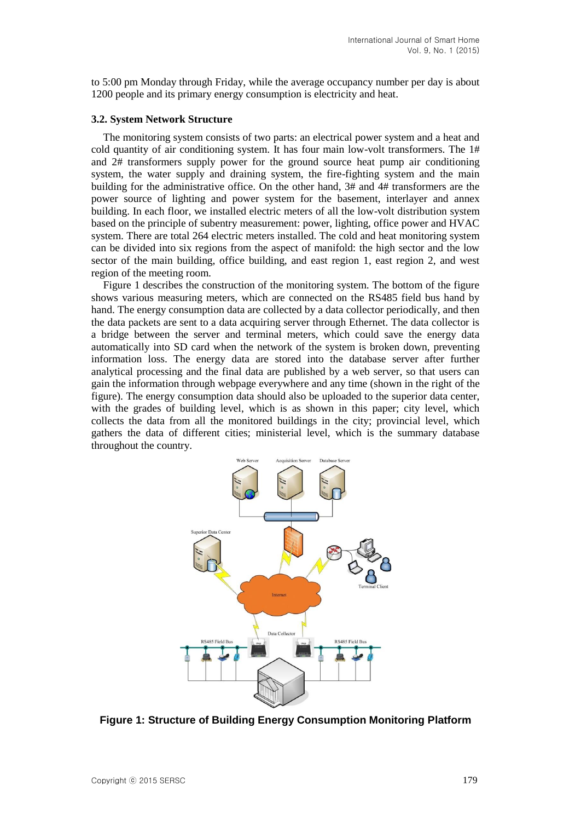to 5:00 pm Monday through Friday, while the average occupancy number per day is about 1200 people and its primary energy consumption is electricity and heat.

#### **3.2. System Network Structure**

The monitoring system consists of two parts: an electrical power system and a heat and cold quantity of air conditioning system. It has four main low-volt transformers. The 1# and 2# transformers supply power for the ground source heat pump air conditioning system, the water supply and draining system, the fire-fighting system and the main building for the administrative office. On the other hand, 3# and 4# transformers are the power source of lighting and power system for the basement, interlayer and annex building. In each floor, we installed electric meters of all the low-volt distribution system based on the principle of subentry measurement: power, lighting, office power and HVAC system. There are total 264 electric meters installed. The cold and heat monitoring system can be divided into six regions from the aspect of manifold: the high sector and the low sector of the main building, office building, and east region 1, east region 2, and west region of the meeting room.

Figure 1 describes the construction of the monitoring system. The bottom of the figure shows various measuring meters, which are connected on the RS485 field bus hand by hand. The energy consumption data are collected by a data collector periodically, and then the data packets are sent to a data acquiring server through Ethernet. The data collector is a bridge between the server and terminal meters, which could save the energy data automatically into SD card when the network of the system is broken down, preventing information loss. The energy data are stored into the database server after further analytical processing and the final data are published by a web server, so that users can gain the information through webpage everywhere and any time (shown in the right of the figure). The energy consumption data should also be uploaded to the superior data center, with the grades of building level, which is as shown in this paper; city level, which collects the data from all the monitored buildings in the city; provincial level, which gathers the data of different cities; ministerial level, which is the summary database throughout the country.



**Figure 1: Structure of Building Energy Consumption Monitoring Platform**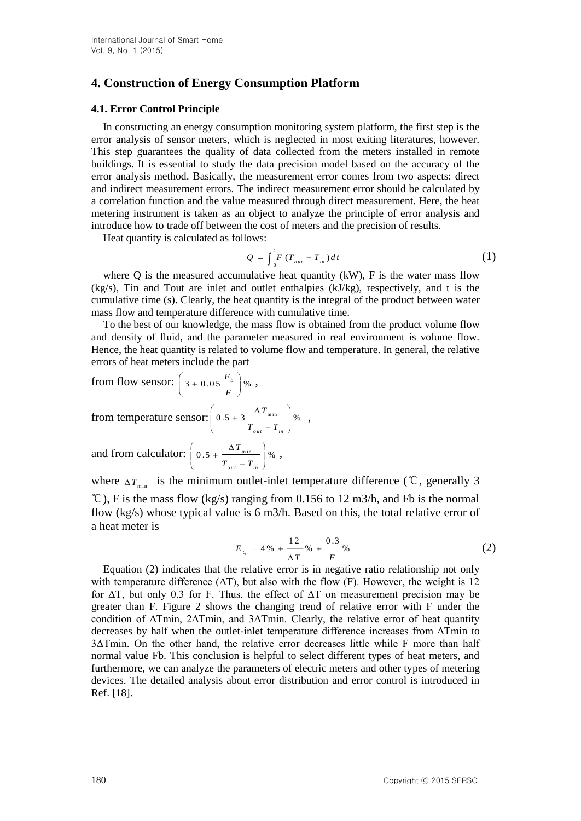## **4. Construction of Energy Consumption Platform**

### **4.1. Error Control Principle**

In constructing an energy consumption monitoring system platform, the first step is the error analysis of sensor meters, which is neglected in most exiting literatures, however. This step guarantees the quality of data collected from the meters installed in remote buildings. It is essential to study the data precision model based on the accuracy of the error analysis method. Basically, the measurement error comes from two aspects: direct and indirect measurement errors. The indirect measurement error should be calculated by a correlation function and the value measured through direct measurement. Here, the heat metering instrument is taken as an object to analyze the principle of error analysis and introduce how to trade off between the cost of meters and the precision of results.

Heat quantity is calculated as follows:

$$
Q = \int_0^t F(T_{out} - T_{in}) dt
$$
 (1)

where Q is the measured accumulative heat quantity  $(kW)$ , F is the water mass flow (kg/s), Tin and Tout are inlet and outlet enthalpies (kJ/kg), respectively, and t is the cumulative time (s). Clearly, the heat quantity is the integral of the product between water mass flow and temperature difference with cumulative time.

To the best of our knowledge, the mass flow is obtained from the product volume flow and density of fluid, and the parameter measured in real environment is volume flow. Hence, the heat quantity is related to volume flow and temperature. In general, the relative errors of heat meters include the part

from flow sensor:  $\left(3 + 0.05 \frac{F_b}{F}\right)\%$ *F*  $\left(3 + 0.05 \frac{F_b}{F}\right)$ %,

from temperature sensor:  $\vert 0.5 + 3 \frac{\Delta T_{\min}}{\Delta T_{\min}} \vert \$ %  $\delta_{out}$  - 1  $\delta_{in}$ *T*  $T_{_{out}} - T$  $\left(\begin{array}{cc} & \Delta T_{\min} \end{array}\right)$  $\left[0.5 + 3 \frac{\text{m}}{\text{m}}\right] \%$  $T_{out} - T_{in}$ ,

and from calculator:  $\int 0.5 + \frac{\Delta T_{min}}{m} \, \dot{ } \,$  $\delta_{out}$   $\sim$   $\epsilon$   $\frac{1}{2}$   $\delta$ *T*  $T_{_{out}} - T$  $\left(\begin{array}{cc} & \Delta T_{\min} \end{array}\right)$  $\left| 0.5 + \frac{\text{min}}{\text{max}} \right|$  %  $T_{out} - T_{in}$ ,

where  $\Delta T_{\min}$  is the minimum outlet-inlet temperature difference (°C, generally 3  $°C$ ), F is the mass flow (kg/s) ranging from 0.156 to 12 m3/h, and Fb is the normal flow (kg/s) whose typical value is 6 m3/h. Based on this, the total relative error of a heat meter is

$$
E_Q = 4\% + \frac{12}{\Delta T}\% + \frac{0.3}{F}\% \tag{2}
$$

Equation (2) indicates that the relative error is in negative ratio relationship not only with temperature difference  $(\Delta T)$ , but also with the flow (F). However, the weight is 12 for  $\Delta T$ , but only 0.3 for F. Thus, the effect of  $\Delta T$  on measurement precision may be greater than F. Figure 2 shows the changing trend of relative error with F under the condition of ΔTmin, 2ΔTmin, and 3ΔTmin. Clearly, the relative error of heat quantity decreases by half when the outlet-inlet temperature difference increases from ΔTmin to 3ΔTmin. On the other hand, the relative error decreases little while F more than half normal value Fb. This conclusion is helpful to select different types of heat meters, and furthermore, we can analyze the parameters of electric meters and other types of metering devices. The detailed analysis about error distribution and error control is introduced in Ref. [18].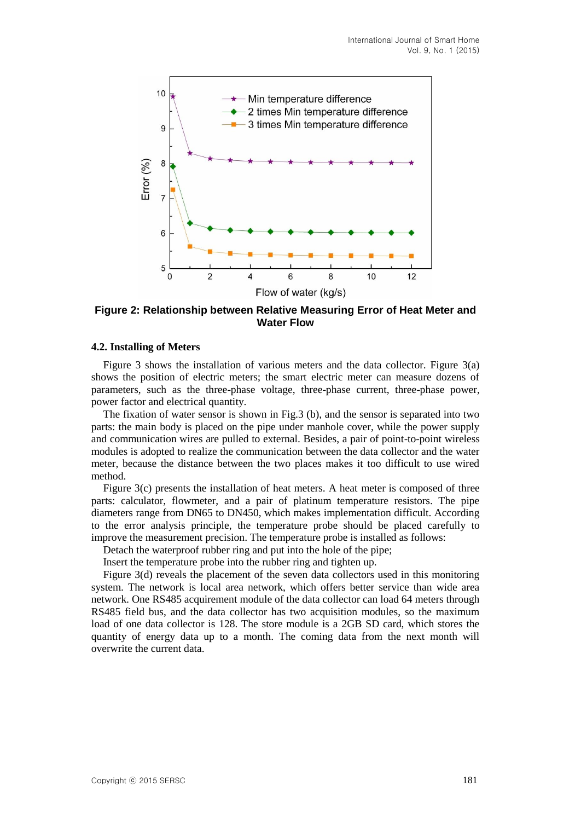

**Figure 2: Relationship between Relative Measuring Error of Heat Meter and Water Flow**

#### **4.2. Installing of Meters**

Figure 3 shows the installation of various meters and the data collector. Figure 3(a) shows the position of electric meters; the smart electric meter can measure dozens of parameters, such as the three-phase voltage, three-phase current, three-phase power, power factor and electrical quantity.

The fixation of water sensor is shown in Fig.3 (b), and the sensor is separated into two parts: the main body is placed on the pipe under manhole cover, while the power supply and communication wires are pulled to external. Besides, a pair of point-to-point wireless modules is adopted to realize the communication between the data collector and the water meter, because the distance between the two places makes it too difficult to use wired method.

Figure 3(c) presents the installation of heat meters. A heat meter is composed of three parts: calculator, flowmeter, and a pair of platinum temperature resistors. The pipe diameters range from DN65 to DN450, which makes implementation difficult. According to the error analysis principle, the temperature probe should be placed carefully to improve the measurement precision. The temperature probe is installed as follows:

Detach the waterproof rubber ring and put into the hole of the pipe;

Insert the temperature probe into the rubber ring and tighten up.

Figure 3(d) reveals the placement of the seven data collectors used in this monitoring system. The network is local area network, which offers better service than wide area network. One RS485 acquirement module of the data collector can load 64 meters through RS485 field bus, and the data collector has two acquisition modules, so the maximum load of one data collector is 128. The store module is a 2GB SD card, which stores the quantity of energy data up to a month. The coming data from the next month will overwrite the current data.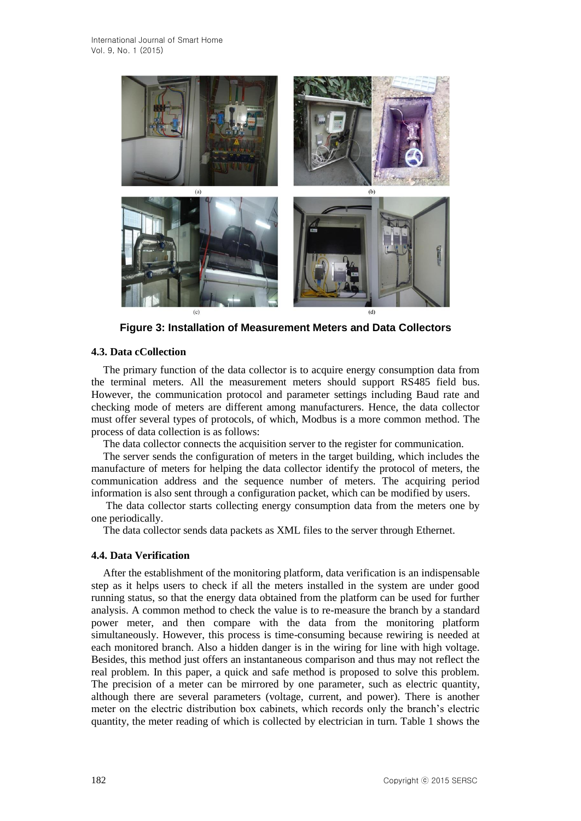

**Figure 3: Installation of Measurement Meters and Data Collectors**

### **4.3. Data cCollection**

The primary function of the data collector is to acquire energy consumption data from the terminal meters. All the measurement meters should support RS485 field bus. However, the communication protocol and parameter settings including Baud rate and checking mode of meters are different among manufacturers. Hence, the data collector must offer several types of protocols, of which, Modbus is a more common method. The process of data collection is as follows:

The data collector connects the acquisition server to the register for communication.

The server sends the configuration of meters in the target building, which includes the manufacture of meters for helping the data collector identify the protocol of meters, the communication address and the sequence number of meters. The acquiring period information is also sent through a configuration packet, which can be modified by users.

The data collector starts collecting energy consumption data from the meters one by one periodically.

The data collector sends data packets as XML files to the server through Ethernet.

### **4.4. Data Verification**

After the establishment of the monitoring platform, data verification is an indispensable step as it helps users to check if all the meters installed in the system are under good running status, so that the energy data obtained from the platform can be used for further analysis. A common method to check the value is to re-measure the branch by a standard power meter, and then compare with the data from the monitoring platform simultaneously. However, this process is time-consuming because rewiring is needed at each monitored branch. Also a hidden danger is in the wiring for line with high voltage. Besides, this method just offers an instantaneous comparison and thus may not reflect the real problem. In this paper, a quick and safe method is proposed to solve this problem. The precision of a meter can be mirrored by one parameter, such as electric quantity, although there are several parameters (voltage, current, and power). There is another meter on the electric distribution box cabinets, which records only the branch's electric quantity, the meter reading of which is collected by electrician in turn. Table 1 shows the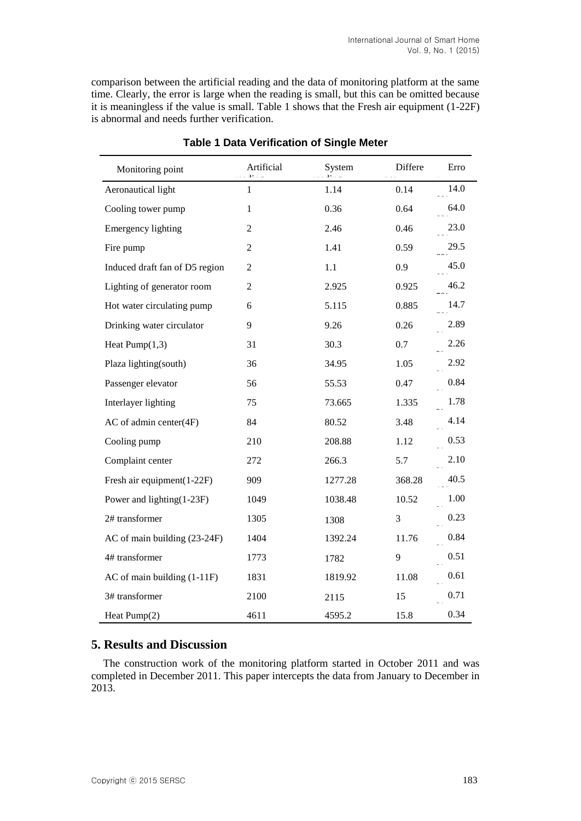comparison between the artificial reading and the data of monitoring platform at the same time. Clearly, the error is large when the reading is small, but this can be omitted because it is meaningless if the value is small. Table 1 shows that the Fresh air equipment (1-22F) is abnormal and needs further verification.

| Monitoring point               | Artificial     | System  | Differe | Erro |
|--------------------------------|----------------|---------|---------|------|
| Aeronautical light             | $\mathbf{1}$   | 1.14    | 0.14    | 14.0 |
| Cooling tower pump             | 1              | 0.36    | 0.64    | 64.0 |
| <b>Emergency lighting</b>      | $\overline{2}$ | 2.46    | 0.46    | 23.0 |
| Fire pump                      | $\overline{2}$ | 1.41    | 0.59    | 29.5 |
| Induced draft fan of D5 region | $\overline{2}$ | 1.1     | 0.9     | 45.0 |
| Lighting of generator room     | $\overline{2}$ | 2.925   | 0.925   | 46.2 |
| Hot water circulating pump     | 6              | 5.115   | 0.885   | 14.7 |
| Drinking water circulator      | 9              | 9.26    | 0.26    | 2.89 |
| Heat $Pump(1,3)$               | 31             | 30.3    | 0.7     | 2.26 |
| Plaza lighting(south)          | 36             | 34.95   | 1.05    | 2.92 |
| Passenger elevator             | 56             | 55.53   | 0.47    | 0.84 |
| Interlayer lighting            | 75             | 73.665  | 1.335   | 1.78 |
| AC of admin center(4F)         | 84             | 80.52   | 3.48    | 4.14 |
| Cooling pump                   | 210            | 208.88  | 1.12    | 0.53 |
| Complaint center               | 272            | 266.3   | 5.7     | 2.10 |
| Fresh air equipment(1-22F)     | 909            | 1277.28 | 368.28  | 40.5 |
| Power and lighting(1-23F)      | 1049           | 1038.48 | 10.52   | 1.00 |
| 2# transformer                 | 1305           | 1308    | 3       | 0.23 |
| AC of main building (23-24F)   | 1404           | 1392.24 | 11.76   | 0.84 |
| 4# transformer                 | 1773           | 1782    | 9       | 0.51 |
| AC of main building (1-11F)    | 1831           | 1819.92 | 11.08   | 0.61 |
| 3# transformer                 | 2100           | 2115    | 15      | 0.71 |
| Heat Pump(2)                   | 4611           | 4595.2  | 15.8    | 0.34 |

### **Table 1 Data Verification of Single Meter**

### **5. Results and Discussion**

The construction work of the monitoring platform started in October 2011 and was completed in December 2011. This paper intercepts the data from January to December in 2013.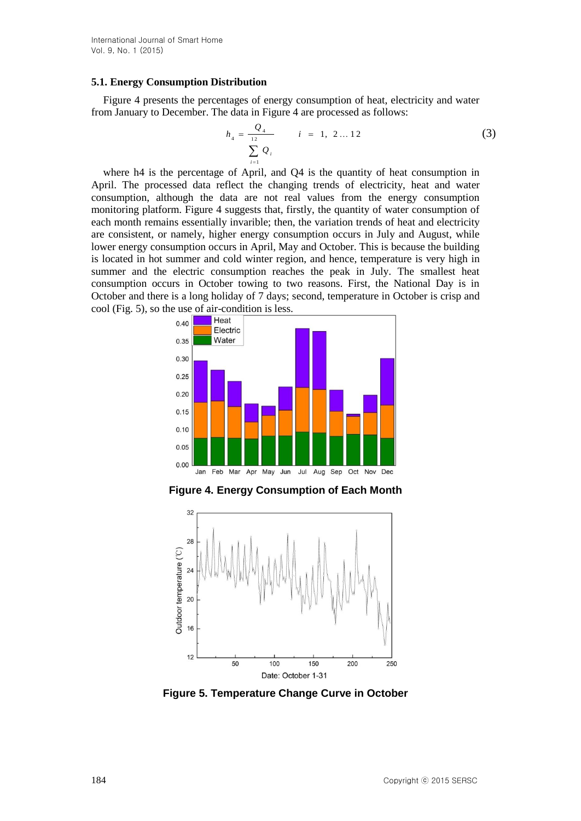#### **5.1. Energy Consumption Distribution**

Figure 4 presents the percentages of energy consumption of heat, electricity and water from January to December. The data in Figure 4 are processed as follows:

$$
h_4 = \frac{Q_4}{\sum_{i=1}^{12} Q_i} \qquad i = 1, 2...12
$$
 (3)

where h4 is the percentage of April, and Q4 is the quantity of heat consumption in April. The processed data reflect the changing trends of electricity, heat and water consumption, although the data are not real values from the energy consumption monitoring platform. Figure 4 suggests that, firstly, the quantity of water consumption of each month remains essentially invarible; then, the variation trends of heat and electricity are consistent, or namely, higher energy consumption occurs in July and August, while lower energy consumption occurs in April, May and October. This is because the building is located in hot summer and cold winter region, and hence, temperature is very high in summer and the electric consumption reaches the peak in July. The smallest heat consumption occurs in October towing to two reasons. First, the National Day is in October and there is a long holiday of 7 days; second, temperature in October is crisp and cool (Fig. 5), so the use of air-condition is less.



**Figure 4. Energy Consumption of Each Month**



**Figure 5. Temperature Change Curve in October**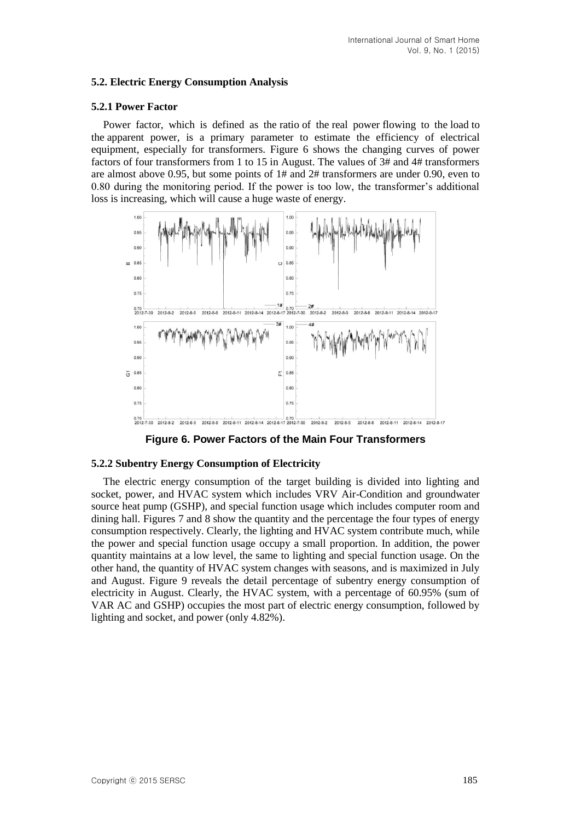### **5.2. Electric Energy Consumption Analysis**

### **5.2.1 Power Factor**

Power factor, which is defined as the [ratio](http://en.wikipedia.org/wiki/Ratio) of the [real power](http://en.wikipedia.org/wiki/AC_power#Real.2C_reactive.2C_and_apparent_powers) flowing to the [load](http://en.wikipedia.org/wiki/Electrical_load) to the [apparent power,](http://en.wikipedia.org/wiki/AC_power#Real.2C_reactive.2C_and_apparent_powers) is a primary parameter to estimate the efficiency of electrical equipment, especially for transformers. Figure 6 shows the changing curves of power factors of four transformers from 1 to 15 in August. The values of 3# and 4# transformers are almost above 0.95, but some points of 1# and 2# transformers are under 0.90, even to 0.80 during the monitoring period. If the power is too low, the transformer's additional loss is increasing, which will cause a huge waste of energy.



**Figure 6. Power Factors of the Main Four Transformers**

### **5.2.2 Subentry Energy Consumption of Electricity**

The electric energy consumption of the target building is divided into lighting and socket, power, and HVAC system which includes VRV Air-Condition and groundwater source heat pump (GSHP), and special function usage which includes computer room and dining hall. Figures 7 and 8 show the quantity and the percentage the four types of energy consumption respectively. Clearly, the lighting and HVAC system contribute much, while the power and special function usage occupy a small proportion. In addition, the power quantity maintains at a low level, the same to lighting and special function usage. On the other hand, the quantity of HVAC system changes with seasons, and is maximized in July and August. Figure 9 reveals the detail percentage of subentry energy consumption of electricity in August. Clearly, the HVAC system, with a percentage of 60.95% (sum of VAR AC and GSHP) occupies the most part of electric energy consumption, followed by lighting and socket, and power (only 4.82%).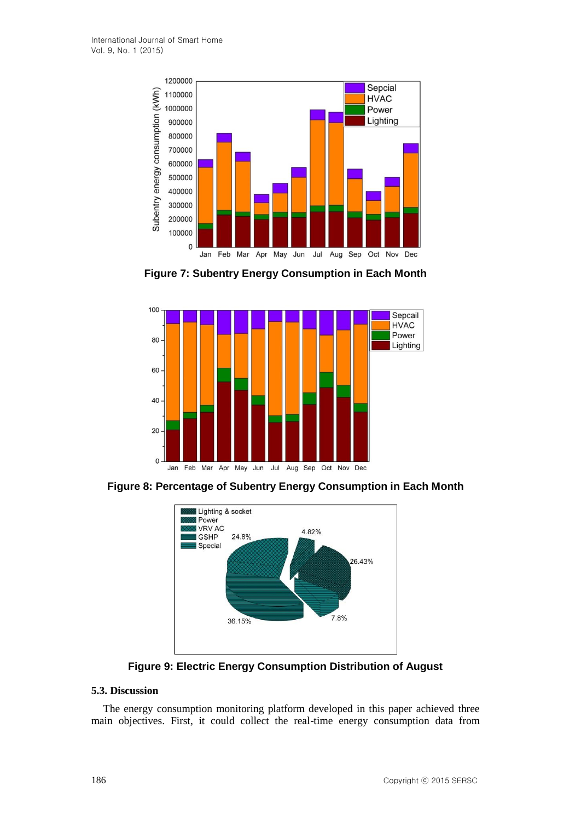

**Figure 7: Subentry Energy Consumption in Each Month**



**Figure 8: Percentage of Subentry Energy Consumption in Each Month**



**Figure 9: Electric Energy Consumption Distribution of August**

### **5.3. Discussion**

The energy consumption monitoring platform developed in this paper achieved three main objectives. First, it could collect the real-time energy consumption data from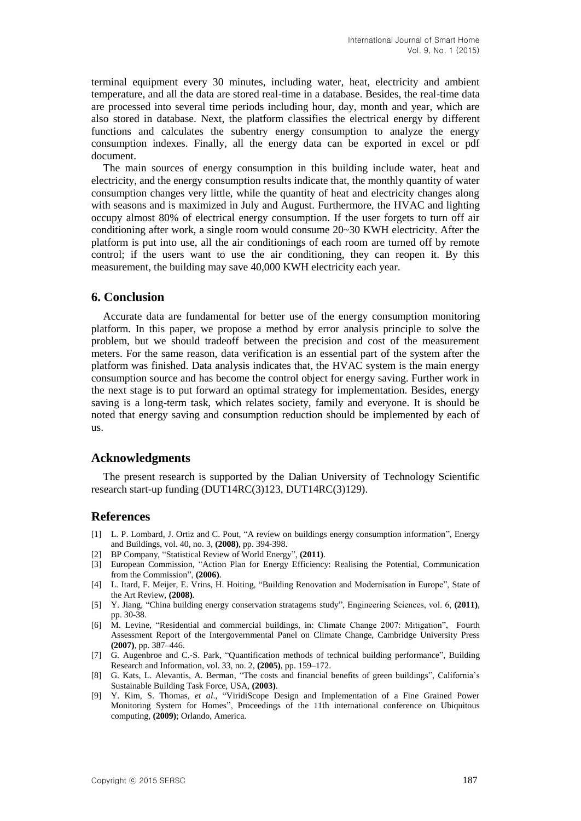terminal equipment every 30 minutes, including water, heat, electricity and ambient temperature, and all the data are stored real-time in a database. Besides, the real-time data are processed into several time periods including hour, day, month and year, which are also stored in database. Next, the platform classifies the electrical energy by different functions and calculates the subentry energy consumption to analyze the energy consumption indexes. Finally, all the energy data can be exported in excel or pdf document.

The main sources of energy consumption in this building include water, heat and electricity, and the energy consumption results indicate that, the monthly quantity of water consumption changes very little, while the quantity of heat and electricity changes along with seasons and is maximized in July and August. Furthermore, the HVAC and lighting occupy almost 80% of electrical energy consumption. If the user forgets to turn off air conditioning after work, a single room would consume 20~30 KWH electricity. After the platform is put into use, all the air conditionings of each room are turned off by remote control; if the users want to use the air conditioning, they can reopen it. By this measurement, the building may save 40,000 KWH electricity each year.

### **6. Conclusion**

Accurate data are fundamental for better use of the energy consumption monitoring platform. In this paper, we propose a method by error analysis principle to solve the problem, but we should tradeoff between the precision and cost of the measurement meters. For the same reason, data verification is an essential part of the system after the platform was finished. Data analysis indicates that, the HVAC system is the main energy consumption source and has become the control object for energy saving. Further work in the next stage is to put forward an optimal strategy for implementation. Besides, energy saving is a long-term task, which relates society, family and everyone. It is should be noted that energy saving and consumption reduction should be implemented by each of us.

#### **Acknowledgments**

The present research is supported by the Dalian University of Technology Scientific research start-up funding (DUT14RC(3)123, DUT14RC(3)129).

#### **References**

- [1] L. P. Lombard, J. Ortiz and C. Pout, "A review on buildings energy consumption information", Energy and Buildings, vol. 40, no. 3, **(2008)**, pp. 394-398.
- [2] BP Company, "Statistical Review of World Energy", **(2011)**.
- [3] European Commission, "Action Plan for Energy Efficiency: Realising the Potential, Communication from the Commission", **(2006)**.
- [4] L. Itard, F. Meijer, E. Vrins, H. Hoiting, "Building Renovation and Modernisation in Europe", State of the Art Review, **(2008)**.
- [5] Y. Jiang, "China building energy conservation stratagems study", Engineering Sciences, vol. 6, **(2011)**, pp. 30-38.
- [6] M. Levine, "Residential and commercial buildings, in: Climate Change 2007: Mitigation", Fourth Assessment Report of the Intergovernmental Panel on Climate Change, Cambridge University Press **(2007)**, pp. 387–446.
- [7] G. Augenbroe and C.-S. Park, "Quantification methods of technical building performance", Building Research and Information, vol. 33, no. 2, **(2005)**, pp. 159–172.
- [8] G. Kats, L. Alevantis, A. Berman, "The costs and financial benefits of green buildings", California's Sustainable Building Task Force, USA, **(2003)**.
- [9] Y. Kim, S. Thomas, *et al*., "ViridiScope Design and Implementation of a Fine Grained Power Monitoring System for Homes", Proceedings of the 11th international conference on Ubiquitous computing, **(2009)**; Orlando, America.